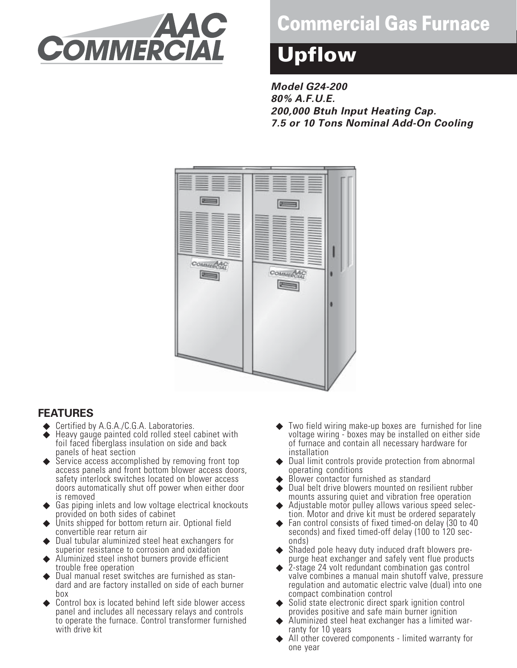

# **Commercial Gas Furnace**

# **Upflow**

**Model G24-200 80% A.F.U.E. 200,000 Btuh Input Heating Cap. 7.5 or 10 Tons Nominal Add-On Cooling**



#### **FEATURES**

- ◆ Certified by A.G.A./C.G.A. Laboratories.
- ◆ Heavy gauge painted cold rolled steel cabinet with foil faced fiberglass insulation on side and back panels of heat section
- ◆ Service access accomplished by removing front top access panels and front bottom blower access doors, safety interlock switches located on blower access doors automatically shut off power when either door is removed
- Gas piping inlets and low voltage electrical knockouts provided on both sides of cabinet
- Units shipped for bottom return air. Optional field convertible rear return air
- Dual tubular aluminized steel heat exchangers for superior resistance to corrosion and oxidation
- Aluminized steel inshot burners provide efficient trouble free operation
- Dual manual reset switches are furnished as standard and are factory installed on side of each burner box
- Control box is located behind left side blower access panel and includes all necessary relays and controls to operate the furnace. Control transformer furnished with drive kit
- Two field wiring make-up boxes are furnished for line voltage wiring - boxes may be installed on either side of furnace and contain all necessary hardware for installation
- ◆ Dual limit controls provide protection from abnormal operating conditions
- Blower contactor furnished as standard
- ◆ Dual belt drive blowers mounted on resilient rubber mounts assuring quiet and vibration free operation
- Adjustable motor pulley allows various speed selection. Motor and drive kit must be ordered separately
- Fan control consists of fixed timed-on delay (30 to 40) seconds) and fixed timed-off delay (100 to 120 seconds)
- Shaded pole heavy duty induced draft blowers prepurge heat exchanger and safely vent flue products
- 2-stage 24 volt redundant combination gas control valve combines a manual main shutoff valve, pressure regulation and automatic electric valve (dual) into one compact combination control
- ◆ Solid state electronic direct spark ignition control provides positive and safe main burner ignition
- Aluminized steel heat exchanger has a limited warranty for 10 years
- All other covered components limited warranty for one year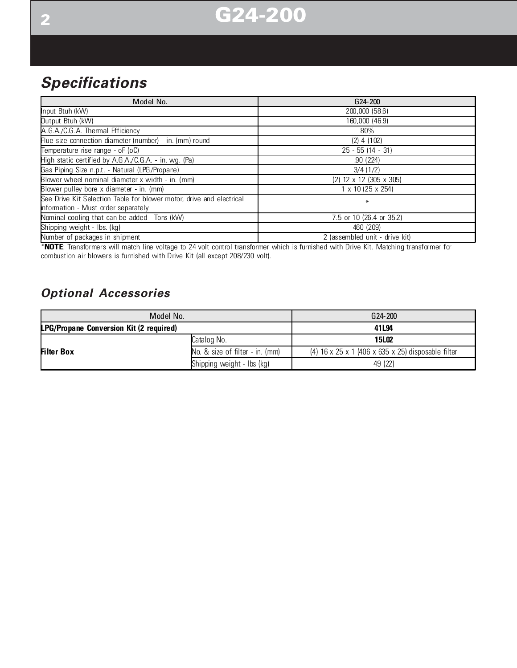

## **Specifications**

| Model No.                                                            | G <sub>24</sub> -200           |
|----------------------------------------------------------------------|--------------------------------|
| Input Btuh (kW)                                                      | 200,000 (58.6)                 |
| Output Btuh (kW)                                                     | 160,000 (46.9)                 |
| A.G.A./C.G.A. Thermal Efficiency                                     | 80%                            |
| Flue size connection diameter (number) - in. (mm) round              | $(2)$ 4 $(102)$                |
| Temperature rise range - oF (oC)                                     | $25 - 55$ (14 - 31)            |
| High static certified by A.G.A./C.G.A. - in. wg. (Pa)                | .90(224)                       |
| Gas Piping Size n.p.t. - Natural (LPG/Propane)                       | 3/4(1/2)                       |
| Blower wheel nominal diameter x width - in. (mm)                     | $(2)$ 12 x 12 (305 x 305)      |
| Blower pulley bore x diameter - in. (mm)                             | $1 \times 10$ (25 x 254)       |
| See Drive Kit Selection Table for blower motor, drive and electrical | $\ast$                         |
| information - Must order separately                                  |                                |
| Nominal cooling that can be added - Tons (kW)                        | 7.5 or 10 (26.4 or 35.2)       |
| Shipping weight - Ibs. (kg)                                          | 460 (209)                      |
| Number of packages in shipment                                       | 2 (assembled unit - drive kit) |

\***NOTE**: Transformers will match line voltage to 24 volt control transformer which is furnished with Drive Kit. Matching transformer for combustion air blowers is furnished with Drive Kit (all except 208/230 volt).

#### **Optional Accessories**

| Model No.                                      | G24-200                         |                                                    |  |  |  |
|------------------------------------------------|---------------------------------|----------------------------------------------------|--|--|--|
| <b>LPG/Propane Conversion Kit (2 required)</b> | 41L94                           |                                                    |  |  |  |
|                                                | Catalog No.                     | <b>15L02</b>                                       |  |  |  |
| <b>Filter Box</b>                              | No. & size of filter - in. (mm) | (4) 16 x 25 x 1 (406 x 635 x 25) disposable filter |  |  |  |
|                                                | Shipping weight - lbs (kg)      | 49 (22)                                            |  |  |  |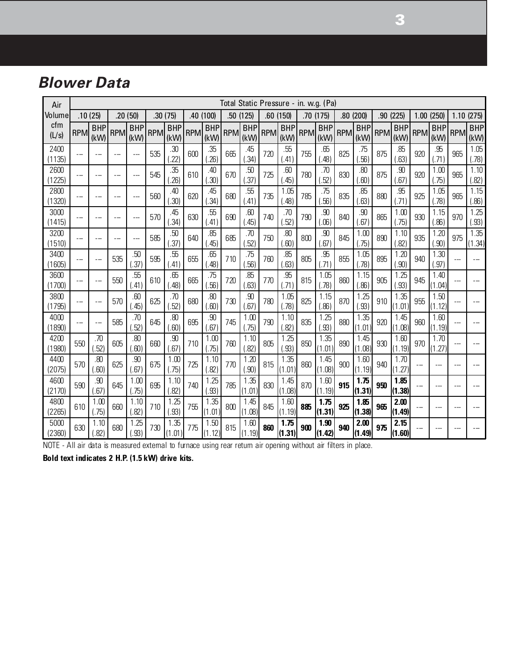### **Blower Data**

| Air            |                          | Total Static Pressure - in. w.g. (Pa) |     |                    |            |                    |            |                    |     |                    |            |                    |            |                    |            |                    |            |                    |            |                    |                |                    |
|----------------|--------------------------|---------------------------------------|-----|--------------------|------------|--------------------|------------|--------------------|-----|--------------------|------------|--------------------|------------|--------------------|------------|--------------------|------------|--------------------|------------|--------------------|----------------|--------------------|
| Volume         |                          | .10(25)                               |     | .20(50)            |            | .30(75)            |            | .40 (100)          |     | .50 (125)          |            | .60(150)           |            | .70(175)           |            | .80(200)           |            | .90 (225)          | 1.00       | (250)              |                | 1.10(275)          |
| cfm<br>(L/s)   | RPM                      | <b>BHP</b><br>(kW)                    | RPM | <b>BHP</b><br>(kW) | <b>RPM</b> | <b>BHP</b><br>(kW) | <b>RPM</b> | <b>BHP</b><br>(kW) | RPM | <b>BHP</b><br>(kW) | <b>RPM</b> | <b>BHP</b><br>(kW) | <b>RPM</b> | <b>BHP</b><br>(kW) | <b>RPM</b> | <b>BHP</b><br>(kW) | <b>RPM</b> | <b>BHP</b><br>(kW) | <b>RPM</b> | <b>BHP</b><br>(kW) | <b>RPM</b>     | <b>BHP</b><br>(kW) |
| 2400<br>(1135) | $---$                    |                                       |     | ---                | 535        | .30<br>(.22)       | 600        | .35<br>(.26)       | 665 | .45<br>(.34)       | 720        | .55<br>(41)        | 755        | .65<br>(.48)       | 825        | .75<br>(.56)       | 875        | .85<br>(.63)       | 920        | .95<br>(.71)       | 965            | 1.05<br>(.78)      |
| 2600<br>1225)  | $\sim$ $\sim$ $\sim$     |                                       |     | ---                | 545        | .35<br>.26)        | 610        | .40<br>(.30)       | 670 | .50<br>(.37)       | 725        | .60<br>.45)        | 780        | .70<br>(.52)       | 830        | .80<br>.60)        | 875        | .90<br>(.67)       | 920        | 1.00<br>(.75)      | 965            | 1.10<br>(.82)      |
| 2800<br>(1320) | $ -$                     |                                       |     | ---                | 560        | .40<br>(.30)       | 620        | .45<br>(.34)       | 680 | .55<br>(41)        | 735        | 1.05<br>(48)       | 785        | .75<br>(.56)       | 835        | .85<br>.63)        | 880        | .95<br>(.71)       | 925        | 1.05<br>(.78)      | 965            | 1.15<br>(.86)      |
| 3000<br>(1415) | $-$                      |                                       | --- | ---                | 570        | .45<br>(.34)       | 630        | .55<br>(41)        | 690 | .60<br>(45)        | 740        | .70<br>(.52)       | 790        | .90<br>(.06)       | 840        | .90<br>(.67)       | 865        | 1.00<br>(.75)      | 930        | 1.15<br>(.86)      | 970            | 1.25<br>(.93)      |
| 3200<br>(1510) | $\overline{a}$           |                                       |     |                    | 585        | .50<br>(37)        | 640        | .85<br>(.45)       | 685 | .70<br>(.52)       | 750        | .80<br>(.60)       | 800        | .90<br>(.67)       | 845        | 1.00<br>(.75)      | 890        | 1.10<br>(.82)      | 935        | 1.20<br>(.90)      | 975            | 1.35<br>(1.34)     |
| 3400<br>(1605) | $-$                      |                                       | 535 | .50<br>.37)        | 595        | .55<br>(41)        | 655        | .65<br>(.48)       | 710 | .75<br>.56)        | 760        | .85<br>(.63)       | 805        | .95<br>(.71)       | 855        | 1.05<br>(.78)      | 895        | 1.20<br>(.90)      | 940        | 1.30<br>(.97)      |                |                    |
| 3600<br>(1700) | $\overline{\phantom{a}}$ | $-$                                   | 550 | .55<br>(41)        | 610        | .65<br>(.48)       | 665        | .75<br>(.56)       | 720 | .85<br>(.63)       | 770        | .95<br>(.71)       | 815        | 1.05<br>(.78)      | 860        | 1.15<br>(.86)      | 905        | 1.25<br>( .93)     | 945        | 1.40<br>(1.04)     | ---            |                    |
| 3800<br>(1795) | --                       | ---                                   | 570 | .60<br>(.45)       | 625        | .70<br>(.52)       | 680        | .80<br>(.60)       | 730 | .90<br>(.67)       | 780        | 1.05<br>(.78)      | 825        | 1.15<br>(.86)      | 870        | 1.25<br>(.93)      | 910        | 1.35<br>(1.01)     | 955        | 1.50<br>(1.12)     |                |                    |
| 4000<br>(1890) | $\sim$ $\sim$            | $=$                                   | 585 | .70<br>.52         | 645        | .80<br>(.60)       | 695        | .90<br>(.67)       | 745 | 1.00<br>(.75)      | 790        | 1.10<br>(.82)      | 835        | 1.25<br>(.93)      | 880        | 1.35<br>(1.01)     | 920        | 1.45<br>(1.08)     | 960        | 1.60<br>(1.19)     | $\overline{a}$ |                    |
| 4200<br>(1980) | 550                      | .70<br>(.52)                          | 605 | .80<br>(.60)       | 660        | .90<br>(.67)       | 710        | 1.00<br>(.75)      | 760 | 1.10<br>(.82)      | 805        | 1.25<br>(.93)      | 850        | 1.35<br>(1.01)     | 890        | 1.45<br>(1.08)     | 930        | 1.60<br>(1.19)     | 970        | 1.70<br>(1.27)     |                |                    |
| 4400<br>(2075) | 570                      | .80<br>(.60)                          | 625 | .90<br>(.67)       | 675        | 1.00<br>(.75)      | 725        | 1.10<br>(.82)      | 770 | 1.20<br>(.90)      | 815        | 1.35<br>(1.01)     | 860        | 1.45<br>(1.08)     | 900        | 1.60<br>(1.19)     | 940        | 1.70<br>(1.27)     |            |                    |                |                    |
| 4600<br>(2170) | 590                      | .90<br>(.67)                          | 645 | 1.00<br>(.75)      | 695        | 1.10<br>(.82)      | 740        | 1.25<br>(.93)      | 785 | 1.35<br>(1.01)     | 830        | 1.45<br>(1.08)     | 870        | 1.60<br>(1.19)     | 915        | 1.75<br>(1.31)     | 950        | 1.85<br>(1.38)     |            |                    |                |                    |
| 4800<br>(2265) | 610                      | 1.00<br>(.75)                         | 660 | 1.10<br>(.82)      | 710        | 1.25<br>(.93)      | 755        | 1.35<br>(1.01)     | 800 | 1.45<br>(1.08)     | 845        | 1.60<br>(1.19)     | 885        | 1.75<br>(1.31)     | 925        | 1.85<br>(1.38)     | 965        | 2.00<br>(1.49)     |            |                    |                |                    |
| 5000<br>(2360) | 630                      | 1.10<br>(.82)                         | 680 | 1.25<br>(.93)      | 730        | 1.35<br>(1.01)     | 775        | 1.50<br>(1.12)     | 815 | 1.60<br>(1.19)     | 860        | 1.75<br>(1.31)     | 900        | 1.90<br>(1.42)     | 940        | 2.00<br>(1.49)     | 975        | 2.15<br>(1.60)     |            |                    |                |                    |

NOTE - All air data is measured external to furnace using rear return air opening without air filters in place.

**Bold text indicates 2 H.P. (1.5 kW) drive kits.**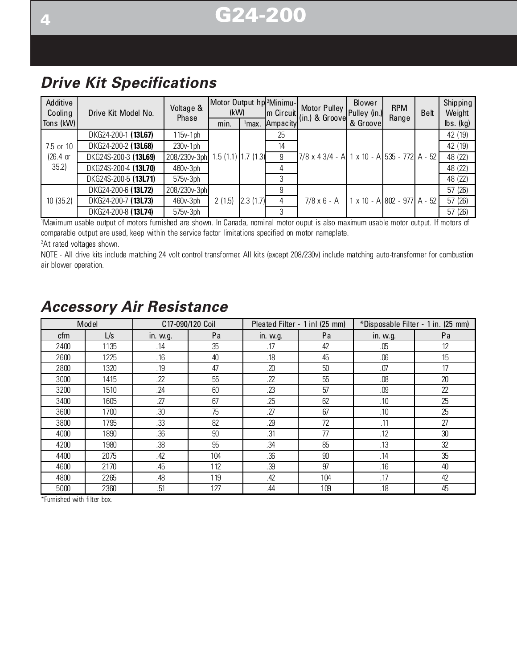# **444 G24-200**

## **Drive Kit Specifications**

| Additive<br>Cooling | Drive Kit Model No.  | Voltage &    | (kW)                 |          | Motor Output hp <sup>2</sup> Minimu- | (Motor Pulley   Pulley (in.)<br>Im Circuit (in.) & Groovel | <b>Blower</b>                      | <b>RPM</b> | Belt | Shipping<br>Weight   |
|---------------------|----------------------|--------------|----------------------|----------|--------------------------------------|------------------------------------------------------------|------------------------------------|------------|------|----------------------|
| Tons (kW)           |                      | Phase        | min.                 | $1$ max. |                                      |                                                            | & Groovel                          | Range      |      | $\mathsf{lbs.}$ (kg) |
|                     | DKG24-200-1 (13L67)  | $115v-1ph$   |                      |          | 25                                   |                                                            |                                    |            |      | 42 (19)              |
| 7.5 or 10           | DKG24-200-2 (13L68)  | $230v-1ph$   | $1.5(1.1)$ 1.7 (1.3) |          | 14                                   |                                                            |                                    |            |      | 42 (19)              |
| $(26.4 \text{ or }$ | DKG24S-200-3 (13L69) | 208/230v-3ph |                      |          | 9                                    | 7/8 x 4 3/4 - A 1 x 10 - A 535 - 772 A - 52                |                                    |            |      | 48 (22)              |
| 35.2)               | DKG24S-200-4 (13L70) | 460v-3ph     |                      |          |                                      |                                                            |                                    |            |      | 48 (22)              |
|                     | DKG24S-200-5 (13L71) | $575v-3ph$   |                      |          | 3                                    |                                                            |                                    |            |      | 48 (22)              |
|                     | DKG24-200-6 (13L72)  | 208/230v-3ph | 2(1.5)               | 2.3(1.7) | 9                                    |                                                            | $1 \times 10 - A 802 - 977 A - 52$ |            |      | 57 (26)              |
| 10(35.2)            | DKG24-200-7 (13L73)  | 460v-3ph     |                      |          | 4                                    | 7/8 x 6 - A                                                |                                    |            |      | 57 (26)              |
|                     | DKG24-200-8 (13L74)  | $575v-3ph$   |                      |          | 3                                    |                                                            |                                    |            |      | 57 (26)              |

1 Maximum usable output of motors furnished are shown. In Canada, nominal motor ouput is also maximum usable motor output. If motors of comparable output are used, keep within the service factor limitations specified on motor nameplate.

2 At rated voltages shown.

NOTE - All drive kits include matching 24 volt control transformer. All kits (except 208/230v) include matching auto-transformer for combustion air blower operation.

|      | Model |          | C17-090/120 Coil |          | Pleated Filter - 1 inl (25 mm) |          | *Disposable Filter - 1 in. (25 mm) |
|------|-------|----------|------------------|----------|--------------------------------|----------|------------------------------------|
| cfm  | L/s   | in. w.g. | Pa               | in. w.g. | Pa                             | in. w.g. | Pa                                 |
| 2400 | 1135  | .14      | 35               | .17      | 42                             | .05      | 12                                 |
| 2600 | 1225  | .16      | 40               | .18      | 45                             | .06      | 15                                 |
| 2800 | 1320  | .19      | 47               | .20      | 50                             | .07      | 17                                 |
| 3000 | 1415  | .22      | 55               | .22      | 55                             | .08      | 20                                 |
| 3200 | 1510  | .24      | 60               | .23      | 57                             | .09      | 22                                 |
| 3400 | 1605  | .27      | 67               | .25      | 62                             | .10      | 25                                 |
| 3600 | 1700  | .30      | 75               | .27      | 67                             | .10      | 25                                 |
| 3800 | 1795  | .33      | 82               | .29      | 72                             | .11      | 27                                 |
| 4000 | 1890  | .36      | 90               | .31      | 77                             | .12      | 30                                 |
| 4200 | 1980  | .38      | 95               | .34      | 85                             | .13      | 32                                 |
| 4400 | 2075  | .42      | 104              | .36      | 90                             | .14      | 35                                 |
| 4600 | 2170  | .45      | 112              | .39      | 97                             | .16      | 40                                 |
| 4800 | 2265  | .48      | 119              | .42      | 104                            | .17      | 42                                 |
| 5000 | 2360  | .51      | 127              | .44      | 109                            | .18      | 45                                 |

### **Accessory Air Resistance**

\*Furnished with filter box.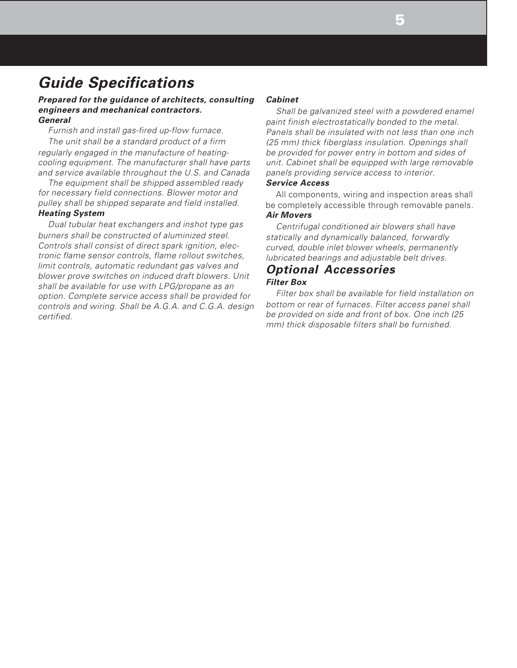### **Guide Specifications**

#### **Prepared for the guidance of architects, consulting engineers and mechanical contractors. General**

Furnish and install gas-fired up-flow furnace. The unit shall be a standard product of a firm regularly engaged in the manufacture of heatingcooling equipment. The manufacturer shall have parts and service available throughout the U.S. and Canada

The equipment shall be shipped assembled ready for necessary field connections. Blower motor and pulley shall be shipped separate and field installed. **Heating System**

Dual tubular heat exchangers and inshot type gas burners shall be constructed of aluminized steel. Controls shall consist of direct spark ignition, electronic flame sensor controls, flame rollout switches, limit controls, automatic redundant gas valves and blower prove switches on induced draft blowers. Unit shall be available for use with LPG/propane as an option. Complete service access shall be provided for controls and wiring. Shall be A.G.A. and C.G.A. design certified.

#### **Cabinet**

Shall be galvanized steel with a powdered enamel paint finish electrostatically bonded to the metal. Panels shall be insulated with not less than one inch (25 mm) thick fiberglass insulation. Openings shall be provided for power entry in bottom and sides of unit. Cabinet shall be equipped with large removable panels providing service access to interior.

#### **Service Access**

All components, wiring and inspection areas shall be completely accessible through removable panels. **Air Movers**

Centrifugal conditioned air blowers shall have statically and dynamically balanced, forwardly curved, double inlet blower wheels, permanently lubricated bearings and adjustable belt drives.

#### **Optional Accessories Filter Box**

Filter box shall be available for field installation on bottom or rear of furnaces. Filter access panel shall be provided on side and front of box. One inch (25 mm) thick disposable filters shall be furnished.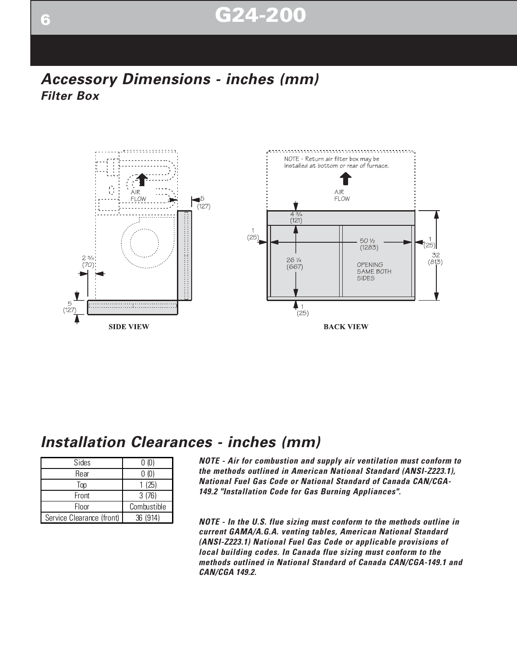# **666 G24-200**

### **Accessory Dimensions - inches (mm) Filter Box**



#### **Installation Clearances - inches (mm)**

| Sides                     | 0 (0)       |
|---------------------------|-------------|
| Rear                      | 0 (0)       |
| Top                       | 1(25)       |
| Front                     | 3(76)       |
| Floor                     | Combustible |
| Service Clearance (front) | 36 (914)    |

**NOTE - Air for combustion and supply air ventilation must conform to the methods outlined in American National Standard (ANSI-Z223.1), National Fuel Gas Code or National Standard of Canada CAN/CGA-149.2 "Installation Code for Gas Burning Appliances".**

**NOTE - In the U.S. flue sizing must conform to the methods outline in current GAMA/A.G.A. venting tables, American National Standard (ANSI-Z223.1) National Fuel Gas Code or applicable provisions of local building codes. In Canada flue sizing must conform to the methods outlined in National Standard of Canada CAN/CGA-149.1 and CAN/CGA 149.2.**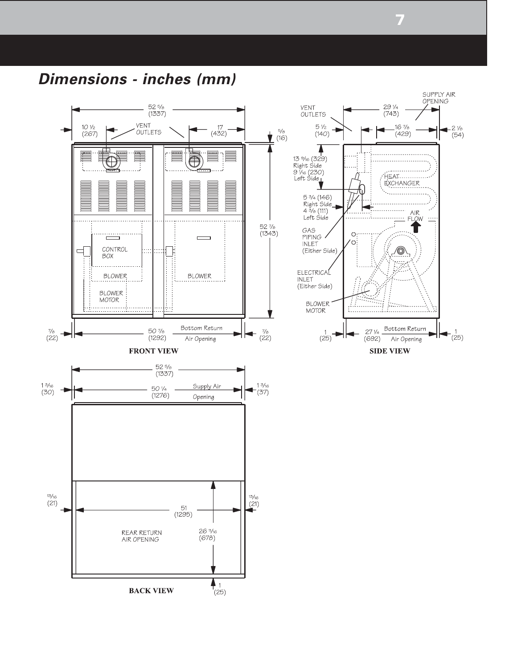**Dimensions - inches (mm)**



**7**